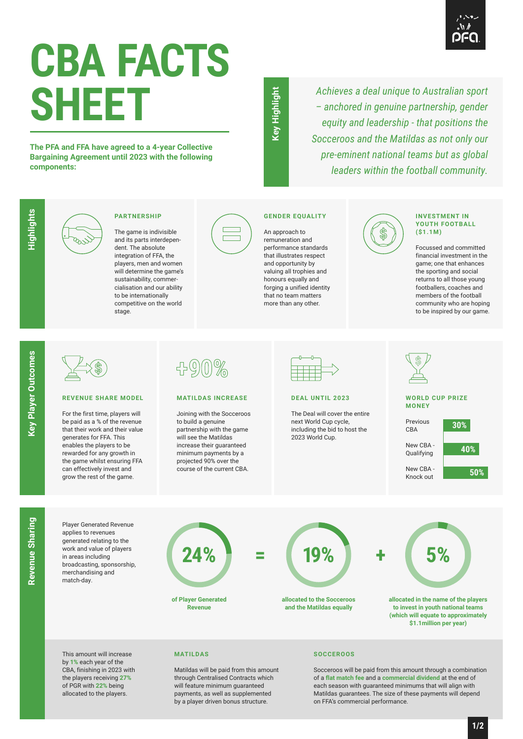

# **CBA FACTS SHEET**

**The PFA and FFA have agreed to a 4-year Collective Bargaining Agreement until 2023 with the following components:**

key Highlight **Key Highlight**

*Achieves a deal unique to Australian sport – anchored in genuine partnership, gender equity and leadership - that positions the Socceroos and the Matildas as not only our pre-eminent national teams but as global leaders within the football community.*



## **PARTNERSHIP**

The game is indivisible and its parts interdependent. The absolute integration of FFA, the players, men and women will determine the game's sustainability, commercialisation and our ability to be internationally competitive on the world .<br>stage.



# **GENDER EQUALITY**

An approach to remuneration and performance standards that illustrates respect and opportunity by valuing all trophies and honours equally and forging a unified identity that no team matters more than any other.



### **INVESTMENT IN YOUTH FOOTBALL (\$1.1M)**

Focussed and committed financial investment in the game; one that enhances the sporting and social returns to all those young footballers, coaches and members of the football community who are hoping to be inspired by our game.

Highlights

## **REVENUE SHARE MODEL**

For the first time, players will be paid as a % of the revenue that their work and their value generates for FFA. This enables the players to be rewarded for any growth in the game whilst ensuring FFA can effectively invest and grow the rest of the game.

| $\tilde{\sigma}$ $\tilde{\sigma}$<br>N) |
|-----------------------------------------|
|-----------------------------------------|

## **MATILDAS INCREASE**

Joining with the Socceroos to build a genuine partnership with the game will see the Matildas increase their guaranteed minimum payments by a projected 90% over the course of the current CBA.



## **DEAL UNTIL 2023**

The Deal will cover the entire next World Cup cycle, including the bid to host the 2023 World Cup.



Revenue Sharing **Revenue Sharing**

Player Generated Revenue applies to revenues generated relating to the work and value of players in areas including broadcasting, sponsorship, merchandising and match-day.

**24% = +**

**of Player Generated Revenue**



**allocated to the Socceroos and the Matildas equally**



**allocated in the name of the players to invest in youth national teams (which will equate to approximately \$1.1million per year)**

This amount will increase by **1%** each year of the CBA, finishing in 2023 with the players receiving **27%** of PGR with **22%** being allocated to the players.

## **MATILDAS**

Matildas will be paid from this amount through Centralised Contracts which will feature minimum guaranteed payments, as well as supplemented by a player driven bonus structure.

## **SOCCEROOS**

Socceroos will be paid from this amount through a combination of a **flat match fee** and a **commercial dividend** at the end of each season with guaranteed minimums that will align with Matildas guarantees. The size of these payments will depend on FFA's commercial performance.